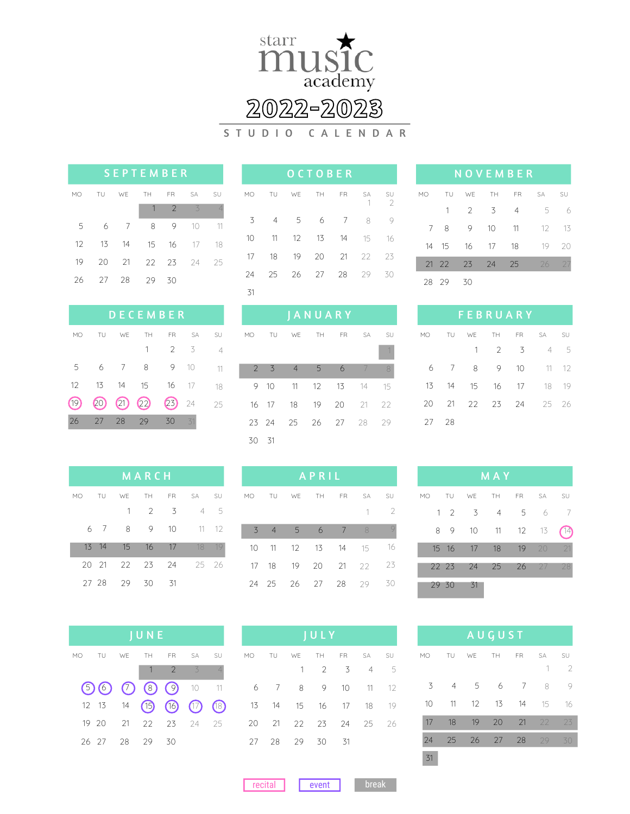

## **2022-2023**

S T U D I O C A L E N D A R

| <b>SEPTEMBER</b> |       |       |          |               |               |                          |  |  |  |
|------------------|-------|-------|----------|---------------|---------------|--------------------------|--|--|--|
| MO               | TU WE |       | TH FR SA |               |               | SU                       |  |  |  |
|                  |       |       |          | $\mathcal{P}$ | $\mathcal{Z}$ | $\overline{\mathcal{A}}$ |  |  |  |
| 5                | 6     | - 7   | 8        | 9             | 10            | 11                       |  |  |  |
| 12               | 13    |       | 14 15 16 |               | 17            | 18                       |  |  |  |
| 19               | 20    | $-21$ | 22 23 24 |               |               | - 25                     |  |  |  |
| 26               | - 27  | 28    | 29       | - 30          |               |                          |  |  |  |

| <b>DECEMBER</b> |     |                |     |            |           |                |  |  |  |
|-----------------|-----|----------------|-----|------------|-----------|----------------|--|--|--|
| MO              | TU  | WE             | TH  | <b>FR</b>  | <b>SA</b> | SU             |  |  |  |
|                 |     |                | 1   | 2          | - 3       | $\overline{4}$ |  |  |  |
| 5               | 6   | $\overline{7}$ | 8   | 9          | 10        | 11             |  |  |  |
| 12              | 13  | 14             | 15  | $16 \t 17$ |           | 18             |  |  |  |
| (19)            | 20) | $(21)$ $(22)$  |     | (23)       | 24        | 25             |  |  |  |
| 26              | 27  | 28             | -29 | 30         | 31        |                |  |  |  |

|    |                |                   | <b>O C T O B E R</b> |     |    |          |
|----|----------------|-------------------|----------------------|-----|----|----------|
| MO |                | TU WE TH FR SA    |                      |     | -1 | SU<br>-2 |
| 3  | $\overline{4}$ | $5^{\circ}$       |                      | 6 7 | 8  | 9        |
| 10 |                | 11 12 13 14 15 16 |                      |     |    |          |
| 17 | 18             | 19 20 21 22 23    |                      |     |    |          |
| 24 | 25             | 26 27 28 29       |                      |     |    | 30       |
| 31 |                |                   |                      |     |    |          |

3 4 6 5 7

 

MO TU WE TH FR SA SU

 

 

 

 

|    |       |                |                | <b>NOVEMBER</b> |           |    |
|----|-------|----------------|----------------|-----------------|-----------|----|
| МO | TU    | WE             | TH             | <b>FR</b>       | <b>SA</b> | SU |
|    | 1     | $\overline{2}$ | $\overline{3}$ | $\overline{A}$  | 5         | 6  |
| 7  | 8     | 9              | 10             | 11              | $12-$     | 13 |
| 14 | 15    | 16             | 17             | 18              | 19        | 20 |
|    | 21 22 | - 23           | - 24           | 25              | 26        |    |
| 28 | 29    | 30             |                |                 |           |    |

| FEBRUARY |                |          |             |                 |                |               |  |  |  |
|----------|----------------|----------|-------------|-----------------|----------------|---------------|--|--|--|
| MO.      | <b>TU</b>      |          |             |                 | WE TH FR SA SU |               |  |  |  |
|          |                |          | $1 \t2 \t3$ |                 | 45             |               |  |  |  |
| 6        |                | 7 8      | 9           | $\overline{10}$ |                | $11 \quad 12$ |  |  |  |
| 13       | $\frac{14}{2}$ |          |             |                 | 15 16 17 18 19 |               |  |  |  |
| 20       |                | 21 22 23 |             |                 | 24 25 26       |               |  |  |  |
| 27       | - 28           |          |             |                 |                |               |  |  |  |

| <b>MARCH</b> |       |                |                 |      |                      |       |  |  |
|--------------|-------|----------------|-----------------|------|----------------------|-------|--|--|
|              |       |                |                 |      | MO TU WE TH FR SA SU |       |  |  |
|              |       |                | $1 \quad 2$     | - 3  | 4 5                  |       |  |  |
|              | 6 7   | 8              | -9              | 10   | $11 \t 12$           |       |  |  |
|              | 13 14 | 15             | $\frac{16}{16}$ | 17   |                      | 18 19 |  |  |
|              |       | 20 21 22 23 24 |                 |      | - 25 26              |       |  |  |
|              | 27 28 | - 29           | - 30            | - 31 |                      |       |  |  |

| APRIL |         |                |     |       |                      |    |  |  |
|-------|---------|----------------|-----|-------|----------------------|----|--|--|
|       |         |                |     |       | MO TU WE TH FR SA    | SU |  |  |
|       |         |                |     |       | 1.                   | 2  |  |  |
|       | $3 \t4$ | 5 <sup>5</sup> | - 6 | 7 8   |                      |    |  |  |
|       |         |                |     |       | 10 11 12 13 14 15 16 |    |  |  |
|       |         | 17 18 19 20    |     | 21 22 |                      | 23 |  |  |
| 24    |         | 25 26 27       |     | - 28  | 29                   | 30 |  |  |

| JUNE                     |                |    |                |      |      |  |  |  |
|--------------------------|----------------|----|----------------|------|------|--|--|--|
| MO TU WE TH FR SA SU     |                |    |                |      |      |  |  |  |
|                          |                |    | $\overline{2}$ | $-3$ |      |  |  |  |
| $(5)$ (6) (7) (8) (9) 10 |                |    |                |      |      |  |  |  |
| 12 13 14 (15) (16) (17)  |                |    |                |      | (18) |  |  |  |
| 19 20                    | 21 22 23 24 25 |    |                |      |      |  |  |  |
| 26 27                    | - 28           | 29 | 30             |      |      |  |  |  |

| JULY |  |                      |  |       |  |             |  |
|------|--|----------------------|--|-------|--|-------------|--|
|      |  | MO TU WE TH FR SA SU |  |       |  |             |  |
|      |  | $\mathbf{1}$         |  | 2 3 4 |  | $5^{\circ}$ |  |
| 6    |  | 7 8 9 10 11 12       |  |       |  |             |  |
|      |  | 13 14 15 16 17 18 19 |  |       |  |             |  |
|      |  | 20 21 22 23 24 25 26 |  |       |  |             |  |
| 27.  |  | 28 29 30 31          |  |       |  |             |  |

| <b>MAY</b> |            |     |                |          |      |    |  |
|------------|------------|-----|----------------|----------|------|----|--|
| MO         | TU         | WE  |                | TH FR SA |      | SU |  |
|            | $1\quad 2$ | - 3 | $\overline{4}$ | 5        | 6    | -7 |  |
|            | 8<br>9     | 10  | 11             | 12       | 13   |    |  |
|            | 15 16      | 17  | 18             | 19       | - 20 | 21 |  |
|            | 22 23      | 24  | 25             | 26       | 27   | 28 |  |
|            | 29 30      | 31  |                |          |      |    |  |

| AUGUST |                |    |    |     |           |               |  |  |
|--------|----------------|----|----|-----|-----------|---------------|--|--|
| MO     | TU             | we | TH | FR. | <b>SA</b> | SU            |  |  |
|        |                |    |    |     | 1         | $\mathcal{P}$ |  |  |
| 3      | $\overline{4}$ | 5  | 6  | 7   | 8         | 9             |  |  |
| 10     | 11             | 12 | 13 | 14  | 15        | 16            |  |  |
| 17     | 18             | 19 | 20 | 21  | 22        | 23            |  |  |
| 24     | 25             | 26 | 27 | 28  | 29        | 30            |  |  |
| 31     |                |    |    |     |           |               |  |  |

**recital** event break